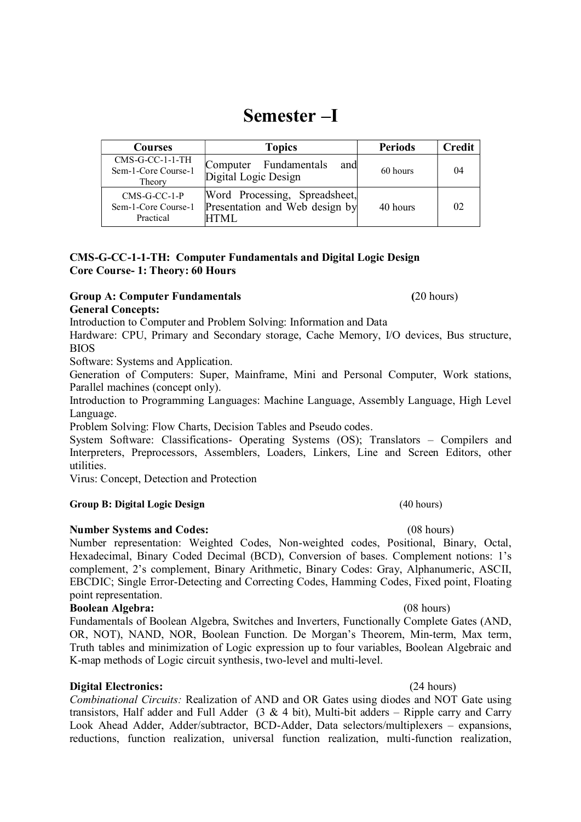# Semester –I

| Courses                                            | <b>Topics</b>                                                           | <b>Periods</b> | <b>Credit</b> |
|----------------------------------------------------|-------------------------------------------------------------------------|----------------|---------------|
| $CMS-GC-1-1-TH$<br>Sem-1-Core Course-1<br>Theory   | Fundamentals<br>Computer<br>and<br>Digital Logic Design                 | 60 hours       | 04            |
| $CMS-G-CC-1-P$<br>Sem-1-Core Course-1<br>Practical | Word Processing, Spreadsheet,<br>Presentation and Web design by<br>HTML | 40 hours       | 02            |

## CMS-G-CC-1-1-TH: Computer Fundamentals and Digital Logic Design Core Course- 1: Theory: 60 Hours

## Group A: Computer Fundamentals (20 hours) General Concepts:

Introduction to Computer and Problem Solving: Information and Data

Hardware: CPU, Primary and Secondary storage, Cache Memory, I/O devices, Bus structure, BIOS

Software: Systems and Application.

Generation of Computers: Super, Mainframe, Mini and Personal Computer, Work stations, Parallel machines (concept only).

Introduction to Programming Languages: Machine Language, Assembly Language, High Level Language.

Problem Solving: Flow Charts, Decision Tables and Pseudo codes.

System Software: Classifications- Operating Systems (OS); Translators – Compilers and Interpreters, Preprocessors, Assemblers, Loaders, Linkers, Line and Screen Editors, other utilities.

Virus: Concept, Detection and Protection

# Group B: Digital Logic Design (40 hours)

# Number Systems and Codes: (08 hours)

Number representation: Weighted Codes, Non-weighted codes, Positional, Binary, Octal, Hexadecimal, Binary Coded Decimal (BCD), Conversion of bases. Complement notions: 1's complement, 2's complement, Binary Arithmetic, Binary Codes: Gray, Alphanumeric, ASCII, EBCDIC; Single Error-Detecting and Correcting Codes, Hamming Codes, Fixed point, Floating point representation.

## Boolean Algebra: (08 hours)

Fundamentals of Boolean Algebra, Switches and Inverters, Functionally Complete Gates (AND, OR, NOT), NAND, NOR, Boolean Function. De Morgan's Theorem, Min-term, Max term, Truth tables and minimization of Logic expression up to four variables, Boolean Algebraic and K-map methods of Logic circuit synthesis, two-level and multi-level.

# Digital Electronics: (24 hours)

Combinational Circuits: Realization of AND and OR Gates using diodes and NOT Gate using transistors, Half adder and Full Adder (3 & 4 bit), Multi-bit adders - Ripple carry and Carry Look Ahead Adder, Adder/subtractor, BCD-Adder, Data selectors/multiplexers – expansions, reductions, function realization, universal function realization, multi-function realization,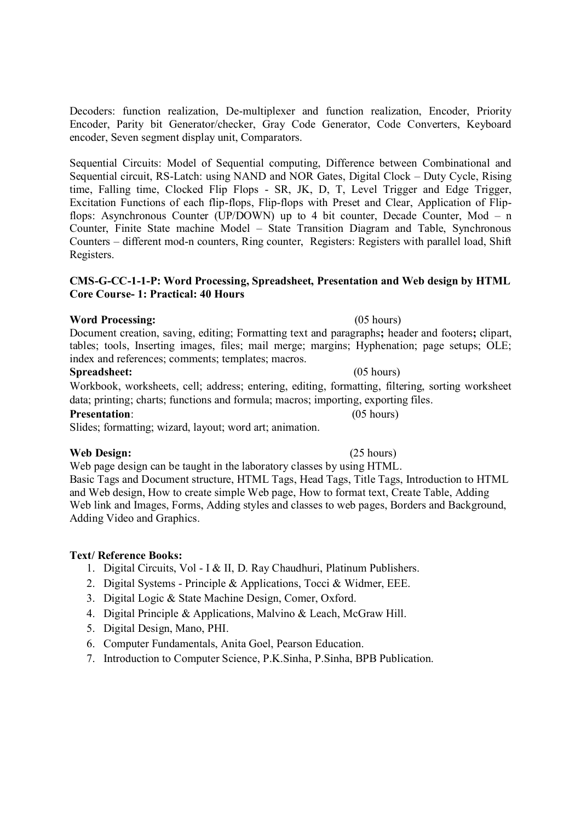Decoders: function realization, De-multiplexer and function realization, Encoder, Priority Encoder, Parity bit Generator/checker, Gray Code Generator, Code Converters, Keyboard encoder, Seven segment display unit, Comparators.

Sequential Circuits: Model of Sequential computing, Difference between Combinational and Sequential circuit, RS-Latch: using NAND and NOR Gates, Digital Clock – Duty Cycle, Rising time, Falling time, Clocked Flip Flops - SR, JK, D, T, Level Trigger and Edge Trigger, Excitation Functions of each flip-flops, Flip-flops with Preset and Clear, Application of Flipflops: Asynchronous Counter (UP/DOWN) up to 4 bit counter, Decade Counter, Mod – n Counter, Finite State machine Model – State Transition Diagram and Table, Synchronous Counters – different mod-n counters, Ring counter, Registers: Registers with parallel load, Shift Registers.<br>CMS-G-CC-1-1-P: Word Processing, Spreadsheet, Presentation and Web design by HTML

# Core Course- 1: Practical: 40 Hours

# Word Processing: (05 hours)

Document creation, saving, editing; Formatting text and paragraphs; header and footers; clipart, tables; tools, Inserting images, files; mail merge; margins; Hyphenation; page setups; OLE; index and references; comments; templates; macros.

### Spreadsheet: (05 hours)

Workbook, worksheets, cell; address; entering, editing, formatting, filtering, sorting worksheet data; printing; charts; functions and formula; macros; importing, exporting files.

### Presentation: (05 hours)

Slides; formatting; wizard, layout; word art; animation.

## Web Design: (25 hours)

Web page design can be taught in the laboratory classes by using HTML. Basic Tags and Document structure, HTML Tags, Head Tags, Title Tags, Introduction to HTML and Web design, How to create simple Web page, How to format text, Create Table, Adding Web link and Images, Forms, Adding styles and classes to web pages, Borders and Background, Adding Video and Graphics.

## Text/ Reference Books:

- 1. Digital Circuits, Vol I & II, D. Ray Chaudhuri, Platinum Publishers.
- 2. Digital Systems Principle & Applications, Tocci & Widmer, EEE.
- 3. Digital Logic & State Machine Design, Comer, Oxford.
- 4. Digital Principle & Applications, Malvino & Leach, McGraw Hill.
- 5. Digital Design, Mano, PHI.
- 6. Computer Fundamentals, Anita Goel, Pearson Education.
- 7. Introduction to Computer Science, P.K.Sinha, P.Sinha, BPB Publication.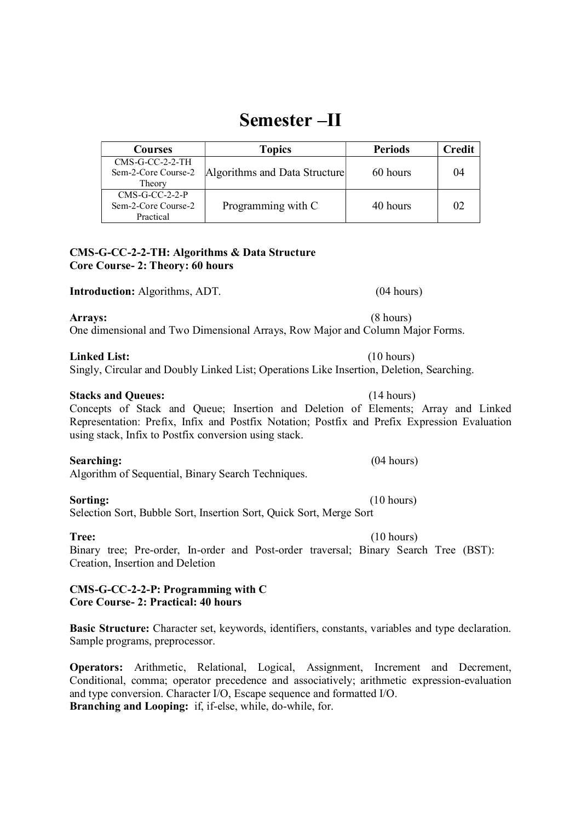# Semester –II

Courses Topics Periods Credit CMS-G-CC-2-2-TH Sem-2-Core Course-2 Theory Algorithms and Data Structure 60 hours 04 CMS-G-CC-2-2-P Sem-2-Core Course-2 Practical Programming with C  $\vert$  40 hours  $\vert$  02

## CMS-G-CC-2-2-TH: Algorithms & Data Structure Core Course- 2: Theory: 60 hours

Introduction: Algorithms, ADT. (04 hours)

Arrays: (8 hours) One dimensional and Two Dimensional Arrays, Row Major and Column Major Forms.<br> **Linked List:** (10 hours)

Singly, Circular and Doubly Linked List; Operations Like Insertion, Deletion, Searching.

### Stacks and Queues: (14 hours)

Concepts of Stack and Queue; Insertion and Deletion of Elements; Array and Linked Representation: Prefix, Infix and Postfix Notation; Postfix and Prefix Expression Evaluation using stack, Infix to Postfix conversion using stack.<br>Searching: (04 hours)

Algorithm of Sequential, Binary Search Techniques.<br> **Sorting:** (10 hours)

Selection Sort, Bubble Sort, Insertion Sort, Quick Sort, Merge Sort

Tree: (10 hours) Binary tree; Pre-order, In-order and Post-order traversal; Binary Search Tree (BST): Creation, Insertion and Deletion

## CMS-G-CC-2-2-P: Programming with C Core Course- 2: Practical: 40 hours

Basic Structure: Character set, keywords, identifiers, constants, variables and type declaration. Sample programs, preprocessor.

Operators: Arithmetic, Relational, Logical, Assignment, Increment and Decrement, Conditional, comma; operator precedence and associatively; arithmetic expression-evaluation and type conversion. Character I/O, Escape sequence and formatted I/O. Branching and Looping: if, if-else, while, do-while, for.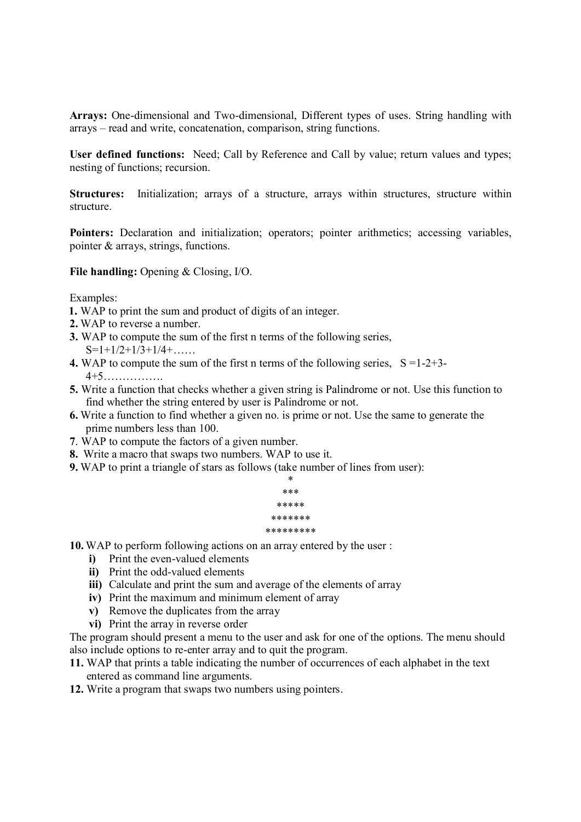Arrays: One-dimensional and Two-dimensional, Different types of uses. String handling with arrays – read and write, concatenation, comparison, string functions.

User defined functions: Need; Call by Reference and Call by value; return values and types; nesting of functions; recursion.

Structures: Initialization; arrays of a structure, arrays within structures, structure within structure.

Pointers: Declaration and initialization; operators; pointer arithmetics; accessing variables, pointer & arrays, strings, functions.

File handling: Opening & Closing, I/O.

Examples:

- 1. WAP to print the sum and product of digits of an integer.
- 2. WAP to reverse a number.
- 3. WAP to compute the sum of the first n terms of the following series,  $S=1+1/2+1/3+1/4+\ldots$
- 4. WAP to compute the sum of the first n terms of the following series,  $S = 1-2+3-$ 4+5…………….
- 5. Write a function that checks whether a given string is Palindrome or not. Use this function to find whether the string entered by user is Palindrome or not.
- 6. Write a function to find whether a given no. is prime or not. Use the same to generate the prime numbers less than 100.
- 7. WAP to compute the factors of a given number.
- 8. Write a macro that swaps two numbers. WAP to use it.
- 9. WAP to print a triangle of stars as follows (take number of lines from user):



10. WAP to perform following actions on an array entered by the user :

- i) Print the even-valued elements
- ii) Print the odd-valued elements
- iii) Calculate and print the sum and average of the elements of array
- iv) Print the maximum and minimum element of array
- v) Remove the duplicates from the array
- vi) Print the array in reverse order

The program should present a menu to the user and ask for one of the options. The menu should also include options to re-enter array and to quit the program.

- 11. WAP that prints a table indicating the number of occurrences of each alphabet in the text entered as command line arguments.
- 12. Write a program that swaps two numbers using pointers.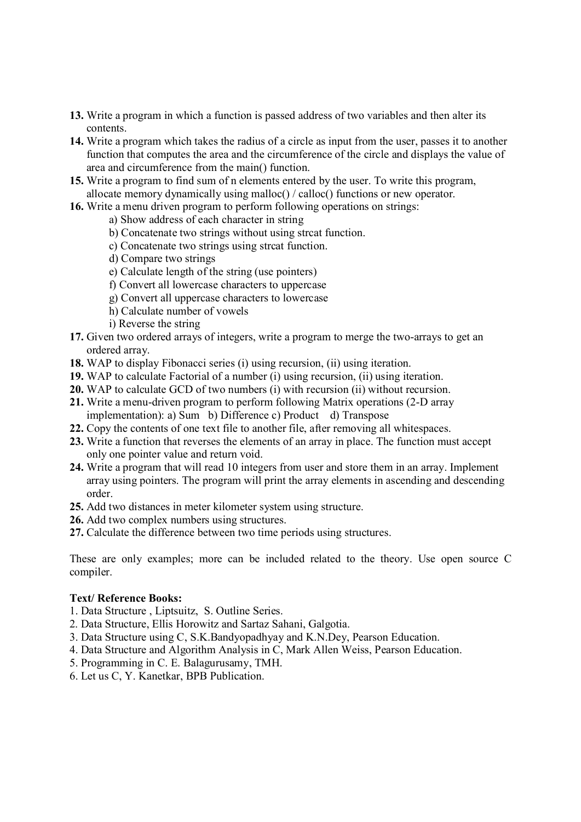- 13. Write a program in which a function is passed address of two variables and then alter its contents.
- 14. Write a program which takes the radius of a circle as input from the user, passes it to another function that computes the area and the circumference of the circle and displays the value of area and circumference from the main() function.
- 15. Write a program to find sum of n elements entered by the user. To write this program, allocate memory dynamically using malloc() / calloc() functions or new operator.
- 16. Write a menu driven program to perform following operations on strings:
	- a) Show address of each character in string
	- b) Concatenate two strings without using strcat function.
	- c) Concatenate two strings using strcat function.
	- d) Compare two strings
	- e) Calculate length of the string (use pointers)
	- f) Convert all lowercase characters to uppercase
	- g) Convert all uppercase characters to lowercase
	- h) Calculate number of vowels
	- i) Reverse the string
- 17. Given two ordered arrays of integers, write a program to merge the two-arrays to get an ordered array.
- 18. WAP to display Fibonacci series (i) using recursion, (ii) using iteration.
- 19. WAP to calculate Factorial of a number (i) using recursion, (ii) using iteration.
- 20. WAP to calculate GCD of two numbers (i) with recursion (ii) without recursion.
- 21. Write a menu-driven program to perform following Matrix operations (2-D array implementation): a) Sum b) Difference c) Product d) Transpose
- 22. Copy the contents of one text file to another file, after removing all whitespaces.
- 23. Write a function that reverses the elements of an array in place. The function must accept only one pointer value and return void.
- 24. Write a program that will read 10 integers from user and store them in an array. Implement array using pointers. The program will print the array elements in ascending and descending order.
- 25. Add two distances in meter kilometer system using structure.
- 26. Add two complex numbers using structures.
- 27. Calculate the difference between two time periods using structures.

These are only examples; more can be included related to the theory. Use open source C compiler.

### Text/ Reference Books:

- 1. Data Structure , Liptsuitz, S. Outline Series.
- 2. Data Structure, Ellis Horowitz and Sartaz Sahani, Galgotia.
- 3. Data Structure using C, S.K.Bandyopadhyay and K.N.Dey, Pearson Education.
- 4. Data Structure and Algorithm Analysis in C, Mark Allen Weiss, Pearson Education.
- 5. Programming in C. E. Balagurusamy, TMH.
- 6. Let us C, Y. Kanetkar, BPB Publication.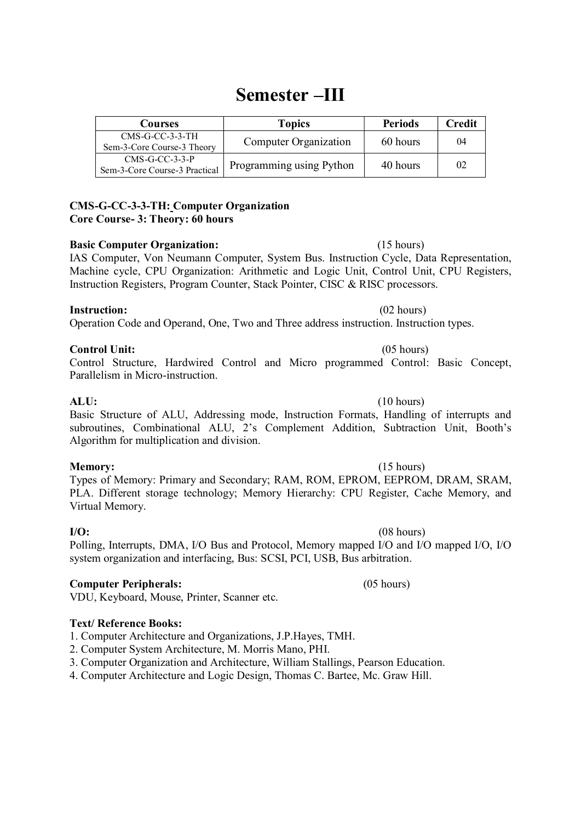# Semester –III

| Courses                                           | Topics                   | <b>Periods</b> | Credit |
|---------------------------------------------------|--------------------------|----------------|--------|
| $CMS-G-CC-3-3-TH$<br>Sem-3-Core Course-3 Theory   | Computer Organization    | 60 hours       | 04     |
| $CMS-G-CC-3-3-P$<br>Sem-3-Core Course-3 Practical | Programming using Python | 40 hours       | 02     |

# CMS-G-CC-3-3-TH: Computer Organization Core Course- 3: Theory: 60 hours<br>Basic Computer Organization: (15 hours)

IAS Computer, Von Neumann Computer, System Bus. Instruction Cycle, Data Representation, Machine cycle, CPU Organization: Arithmetic and Logic Unit, Control Unit, CPU Registers, Instruction Registers, Program Counter, Stack Pointer, CISC & RISC processors.

## **Instruction:** (02 hours)

Operation Code and Operand, One, Two and Three address instruction. Instruction types.

## Control Unit: (05 hours)

Control Structure, Hardwired Control and Micro programmed Control: Basic Concept, Parallelism in Micro-instruction.<br> **ALU:** (10 hours)

Basic Structure of ALU, Addressing mode, Instruction Formats, Handling of interrupts and subroutines, Combinational ALU, 2's Complement Addition, Subtraction Unit, Booth's Algorithm for multiplication and division.

# Memory: (15 hours)

Types of Memory: Primary and Secondary; RAM, ROM, EPROM, EEPROM, DRAM, SRAM, PLA. Different storage technology; Memory Hierarchy: CPU Register, Cache Memory, and Virtual Memory.

Polling, Interrupts, DMA, I/O Bus and Protocol, Memory mapped I/O and I/O mapped I/O, I/O system organization and interfacing, Bus: SCSI, PCI, USB, Bus arbitration.

# Computer Peripherals: (05 hours)

VDU, Keyboard, Mouse, Printer, Scanner etc.

# Text/ Reference Books:

1. Computer Architecture and Organizations, J.P.Hayes, TMH.

- 2. Computer System Architecture, M. Morris Mano, PHI.
- 3. Computer Organization and Architecture, William Stallings, Pearson Education.
- 4. Computer Architecture and Logic Design, Thomas C. Bartee, Mc. Graw Hill.

# $I/O:$  (08 hours)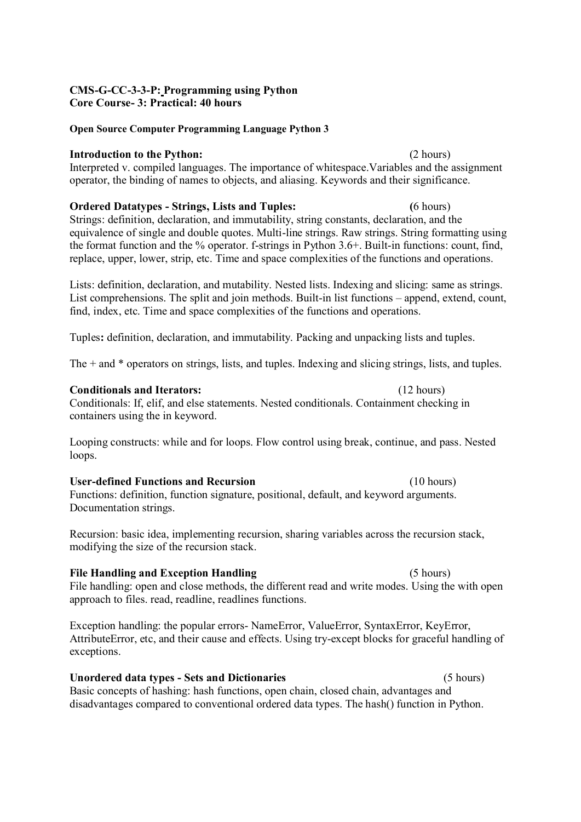# CMS-G-CC-3-3-P: Programming using Python

### Open Source Computer Programming Language Python 3

### Introduction to the Python: (2 hours)

Interpreted v. compiled languages. The importance of whitespace.Variables and the assignment operator, the binding of names to objects, and aliasing. Keywords and their significance.

Ordered Datatypes - Strings, Lists and Tuples: (6 hours) Strings: definition, declaration, and immutability, string constants, declaration, and the equivalence of single and double quotes. Multi-line strings. Raw strings. String formatting using the format function and the % operator. f-strings in Python 3.6+. Built-in functions: count, find, replace, upper, lower, strip, etc. Time and space complexities of the functions and operations.

Lists: definition, declaration, and mutability. Nested lists. Indexing and slicing: same as strings. List comprehensions. The split and join methods. Built-in list functions – append, extend, count, find, index, etc. Time and space complexities of the functions and operations.

Tuples: definition, declaration, and immutability. Packing and unpacking lists and tuples.

The + and \* operators on strings, lists, and tuples. Indexing and slicing strings, lists, and tuples.

## Conditionals and Iterators: (12 hours)

Conditionals: If, elif, and else statements. Nested conditionals. Containment checking in containers using the in keyword.

Looping constructs: while and for loops. Flow control using break, continue, and pass. Nested loops.

### User-defined Functions and Recursion (10 hours)

Functions: definition, function signature, positional, default, and keyword arguments. Documentation strings.

Recursion: basic idea, implementing recursion, sharing variables across the recursion stack, modifying the size of the recursion stack.

## File Handling and Exception Handling (5 hours)

File handling: open and close methods, the different read and write modes. Using the with open approach to files. read, readline, readlines functions.

Exception handling: the popular errors- NameError, ValueError, SyntaxError, KeyError, AttributeError, etc, and their cause and effects. Using try-except blocks for graceful handling of exceptions.

## Unordered data types - Sets and Dictionaries (5 hours)

Basic concepts of hashing: hash functions, open chain, closed chain, advantages and disadvantages compared to conventional ordered data types. The hash() function in Python.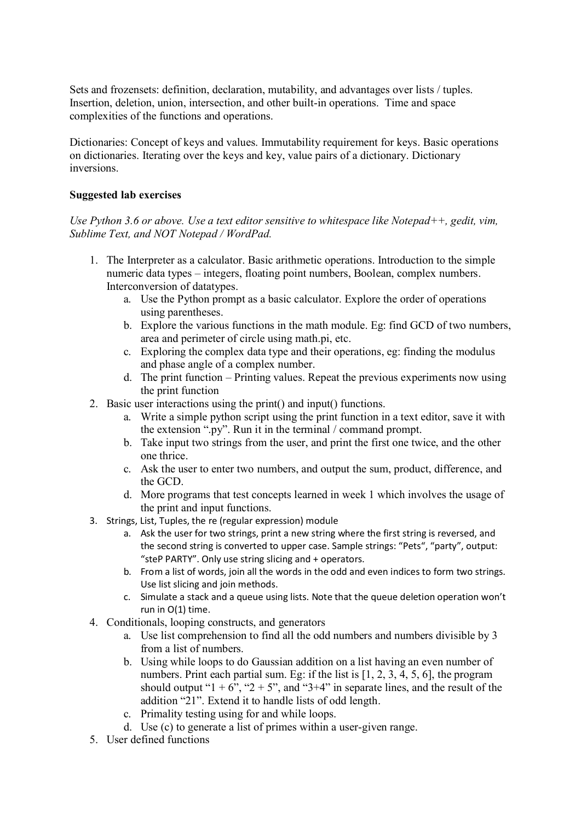Sets and frozensets: definition, declaration, mutability, and advantages over lists / tuples. Insertion, deletion, union, intersection, and other built-in operations. Time and space complexities of the functions and operations.

Dictionaries: Concept of keys and values. Immutability requirement for keys. Basic operations on dictionaries. Iterating over the keys and key, value pairs of a dictionary. Dictionary inversions.

### Suggested lab exercises

## Use Python 3.6 or above. Use a text editor sensitive to whitespace like Notepad $++$ , gedit, vim, Sublime Text, and NOT Notepad / WordPad.

- 1. The Interpreter as a calculator. Basic arithmetic operations. Introduction to the simple numeric data types – integers, floating point numbers, Boolean, complex numbers. Interconversion of datatypes.
	- a. Use the Python prompt as a basic calculator. Explore the order of operations using parentheses.
	- b. Explore the various functions in the math module. Eg: find GCD of two numbers, area and perimeter of circle using math.pi, etc.
	- c. Exploring the complex data type and their operations, eg: finding the modulus and phase angle of a complex number.
	- d. The print function Printing values. Repeat the previous experiments now using the print function
- 2. Basic user interactions using the print() and input() functions.
	- a. Write a simple python script using the print function in a text editor, save it with the extension ".py". Run it in the terminal / command prompt.
	- b. Take input two strings from the user, and print the first one twice, and the other one thrice.
	- c. Ask the user to enter two numbers, and output the sum, product, difference, and the GCD.
	- d. More programs that test concepts learned in week 1 which involves the usage of the print and input functions.
- 3. Strings, List, Tuples, the re (regular expression) module
	- a. Ask the user for two strings, print a new string where the first string is reversed, and the second string is converted to upper case. Sample strings: "Pets", "party", output: "steP PARTY". Only use string slicing and + operators.
	- b. From a list of words, join all the words in the odd and even indices to form two strings. Use list slicing and join methods.
	- c. Simulate a stack and a queue using lists. Note that the queue deletion operation won't run in O(1) time.
- 4. Conditionals, looping constructs, and generators
	- a. Use list comprehension to find all the odd numbers and numbers divisible by 3 from a list of numbers.
	- b. Using while loops to do Gaussian addition on a list having an even number of numbers. Print each partial sum. Eg: if the list is [1, 2, 3, 4, 5, 6], the program should output " $1 + 6$ ", " $2 + 5$ ", and " $3 + 4$ " in separate lines, and the result of the addition "21". Extend it to handle lists of odd length.
	- c. Primality testing using for and while loops.
	- d. Use (c) to generate a list of primes within a user-given range.
- 5. User defined functions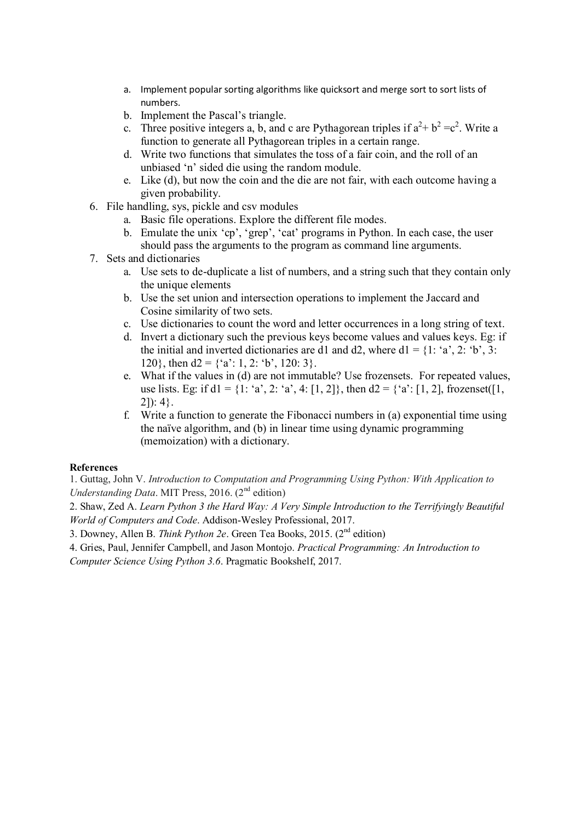- a. Implement popular sorting algorithms like quicksort and merge sort to sort lists of numbers.
- b. Implement the Pascal's triangle.
- c. Three positive integers a, b, and c are Pythagorean triples if  $a^2 + b^2 = c^2$ . Write a function to generate all Pythagorean triples in a certain range.
- d. Write two functions that simulates the toss of a fair coin, and the roll of an unbiased 'n' sided die using the random module.
- e. Like (d), but now the coin and the die are not fair, with each outcome having a given probability.
- 6. File handling, sys, pickle and csv modules
	- a. Basic file operations. Explore the different file modes.
	- b. Emulate the unix 'cp', 'grep', 'cat' programs in Python. In each case, the user should pass the arguments to the program as command line arguments.
- 7. Sets and dictionaries
	- a. Use sets to de-duplicate a list of numbers, and a string such that they contain only the unique elements
	- b. Use the set union and intersection operations to implement the Jaccard and Cosine similarity of two sets.
	- c. Use dictionaries to count the word and letter occurrences in a long string of text.
	- d. Invert a dictionary such the previous keys become values and values keys. Eg: if the initial and inverted dictionaries are d1 and d2, where  $d1 = \{1: 'a', 2: 'b', 3: \}$ 120}, then  $d2 = \{a': 1, 2: 'b', 120: 3\}.$
	- e. What if the values in (d) are not immutable? Use frozensets. For repeated values, use lists. Eg: if  $d1 = \{1: 'a', 2: 'a', 4: [1, 2] \}$ , then  $d2 = \{ 'a': [1, 2] \}$ , frozenset([1, 2]): 4}.
	- f. Write a function to generate the Fibonacci numbers in (a) exponential time using the naïve algorithm, and (b) in linear time using dynamic programming (memoization) with a dictionary.

## References

1. Guttag, John V. Introduction to Computation and Programming Using Python: With Application to Understanding Data. MIT Press, 2016.  $(2<sup>nd</sup>$  edition)

2. Shaw, Zed A. Learn Python 3 the Hard Way: A Very Simple Introduction to the Terrifyingly Beautiful World of Computers and Code. Addison-Wesley Professional, 2017.

3. Downey, Allen B. Think Python 2e. Green Tea Books, 2015.  $(2^{nd}$  edition)

4. Gries, Paul, Jennifer Campbell, and Jason Montojo. Practical Programming: An Introduction to Computer Science Using Python 3.6. Pragmatic Bookshelf, 2017.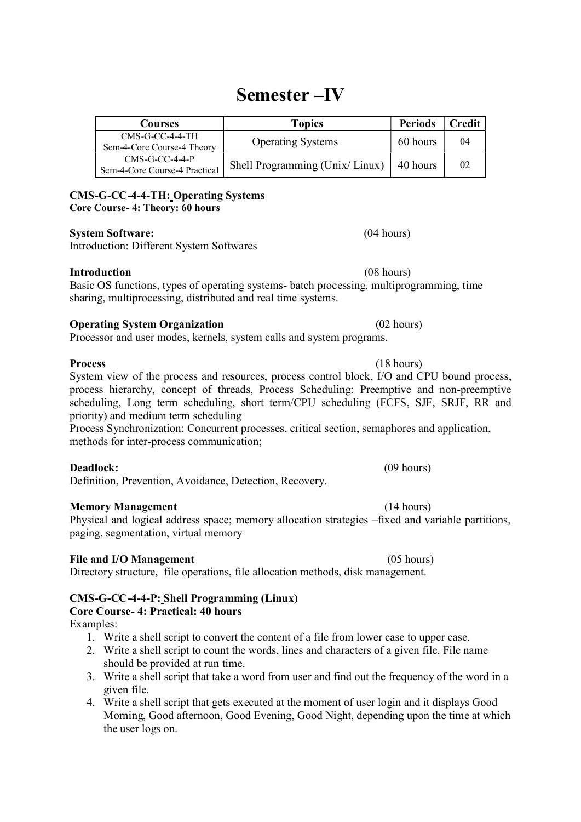# Semester –IV

| Courses                                           | <b>Topics</b>                  | <b>Periods</b> | Credit |
|---------------------------------------------------|--------------------------------|----------------|--------|
| $CMS-G-CC-4-4-TH$<br>Sem-4-Core Course-4 Theory   | <b>Operating Systems</b>       | 60 hours       | 04     |
| $CMS-G-CC-4-4-P$<br>Sem-4-Core Course-4 Practical | Shell Programming (Unix/Linux) | 40 hours       | 02     |

# CMS-G-CC-4-4-TH: Operating Systems

Core Course- 4: Theory: 60 hours

# System Software: (04 hours)

Introduction: Different System Softwares

# Introduction (08 hours)

Basic OS functions, types of operating systems- batch processing, multiprogramming, time sharing, multiprocessing, distributed and real time systems.

# **Operating System Organization** (02 hours)

Processor and user modes, kernels, system calls and system programs.

Process (18 hours) System view of the process and resources, process control block, I/O and CPU bound process, process hierarchy, concept of threads, Process Scheduling: Preemptive and non-preemptive scheduling, Long term scheduling, short term/CPU scheduling (FCFS, SJF, SRJF, RR and priority) and medium term scheduling

Process Synchronization: Concurrent processes, critical section, semaphores and application, methods for inter-process communication;

# Deadlock: (09 hours)

Definition, Prevention, Avoidance, Detection, Recovery.

# Memory Management (14 hours)

Physical and logical address space; memory allocation strategies –fixed and variable partitions, paging, segmentation, virtual memory

# File and I/O Management (05 hours)

Directory structure, file operations, file allocation methods, disk management.

### CMS-G-CC-4-4-P: Shell Programming (Linux) Core Course- 4: Practical: 40 hours

Examples:

- 1. Write a shell script to convert the content of a file from lower case to upper case.
- 2. Write a shell script to count the words, lines and characters of a given file. File name should be provided at run time.
- 3. Write a shell script that take a word from user and find out the frequency of the word in a given file.
- 4. Write a shell script that gets executed at the moment of user login and it displays Good Morning, Good afternoon, Good Evening, Good Night, depending upon the time at which the user logs on.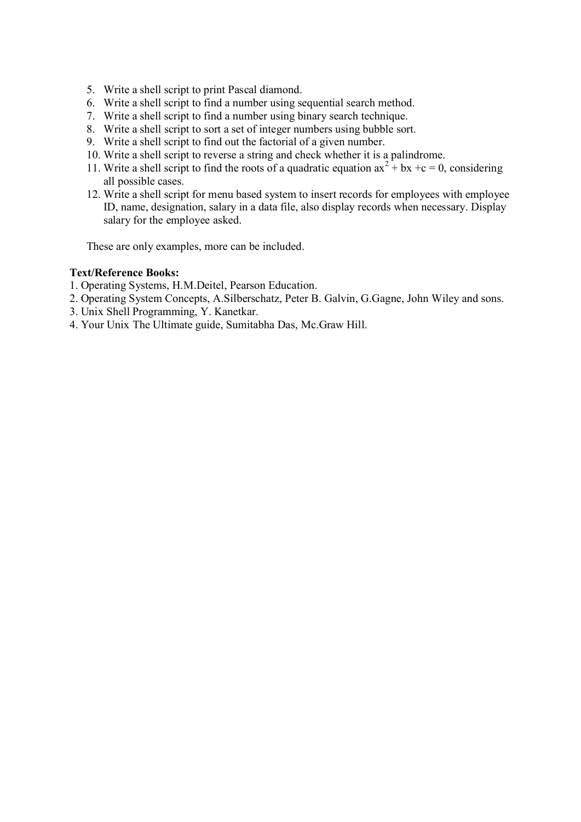- 5. Write a shell script to print Pascal diamond.
- 6. Write a shell script to find a number using sequential search method.
- 7. Write a shell script to find a number using binary search technique.
- 8. Write a shell script to sort a set of integer numbers using bubble sort.
- 9. Write a shell script to find out the factorial of a given number.
- 10. Write a shell script to reverse a string and check whether it is a palindrome.
- 11. Write a shell script to find the roots of a quadratic equation  $ax^2 + bx + c = 0$ , considering all possible cases.
- 12. Write a shell script for menu based system to insert records for employees with employee ID, name, designation, salary in a data file, also display records when necessary. Display salary for the employee asked.

These are only examples, more can be included.

## Text/Reference Books:

- 1. Operating Systems, H.M.Deitel, Pearson Education.
- 2. Operating System Concepts, A.Silberschatz, Peter B. Galvin, G.Gagne, John Wiley and sons.
- 3. Unix Shell Programming, Y. Kanetkar.
- 4. Your Unix The Ultimate guide, Sumitabha Das, Mc.Graw Hill.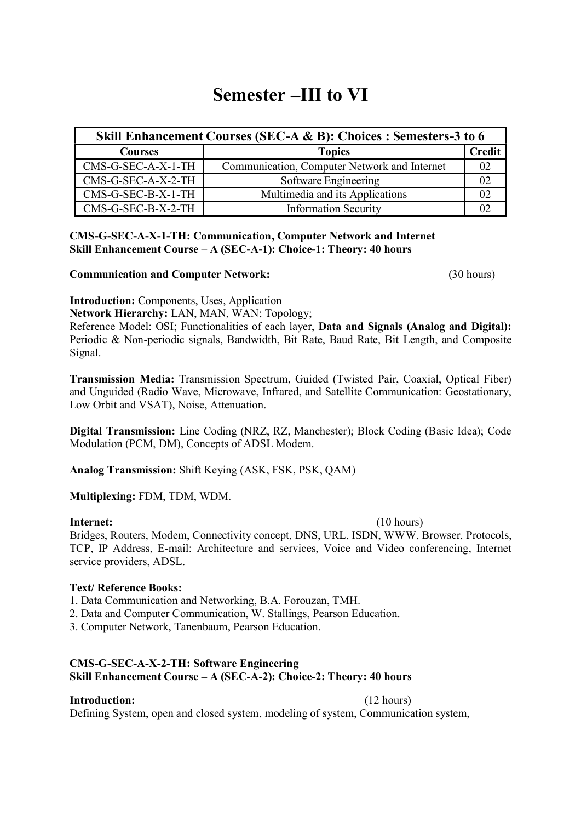# Semester –III to VI

| Skill Enhancement Courses (SEC-A & B): Choices : Semesters-3 to 6 |                                              |        |  |
|-------------------------------------------------------------------|----------------------------------------------|--------|--|
| Courses                                                           | <b>Topics</b>                                | Credit |  |
| CMS-G-SEC-A-X-1-TH                                                | Communication, Computer Network and Internet | 02     |  |
| CMS-G-SEC-A-X-2-TH                                                | Software Engineering                         | 02     |  |
| CMS-G-SEC-B-X-1-TH                                                | Multimedia and its Applications              | 02     |  |
| $CMS-GEC-B-X-2-TH$                                                | <b>Information Security</b>                  | 02     |  |

### CMS-G-SEC-A-X-1-TH: Communication, Computer Network and Internet Skill Enhancement Course – A (SEC-A-1): Choice-1: Theory: 40 hours

## Communication and Computer Network: (30 hours)

Introduction: Components, Uses, Application

Network Hierarchy: LAN, MAN, WAN; Topology;

Reference Model: OSI; Functionalities of each layer, Data and Signals (Analog and Digital): Periodic & Non-periodic signals, Bandwidth, Bit Rate, Baud Rate, Bit Length, and Composite Signal.

Transmission Media: Transmission Spectrum, Guided (Twisted Pair, Coaxial, Optical Fiber) and Unguided (Radio Wave, Microwave, Infrared, and Satellite Communication: Geostationary, Low Orbit and VSAT), Noise, Attenuation.

Digital Transmission: Line Coding (NRZ, RZ, Manchester); Block Coding (Basic Idea); Code Modulation (PCM, DM), Concepts of ADSL Modem.

Analog Transmission: Shift Keying (ASK, FSK, PSK, QAM)

Multiplexing: FDM, TDM, WDM.

## **Internet:** (10 hours)

Bridges, Routers, Modem, Connectivity concept, DNS, URL, ISDN, WWW, Browser, Protocols, TCP, IP Address, E-mail: Architecture and services, Voice and Video conferencing, Internet service providers, ADSL.

## Text/ Reference Books:

- 1. Data Communication and Networking, B.A. Forouzan, TMH.
- 2. Data and Computer Communication, W. Stallings, Pearson Education.
- 3. Computer Network, Tanenbaum, Pearson Education.

# CMS-G-SEC-A-X-2-TH: Software Engineering Skill Enhancement Course – A (SEC-A-2): Choice-2: Theory: 40 hours

# Introduction: (12 hours)

Defining System, open and closed system, modeling of system, Communication system,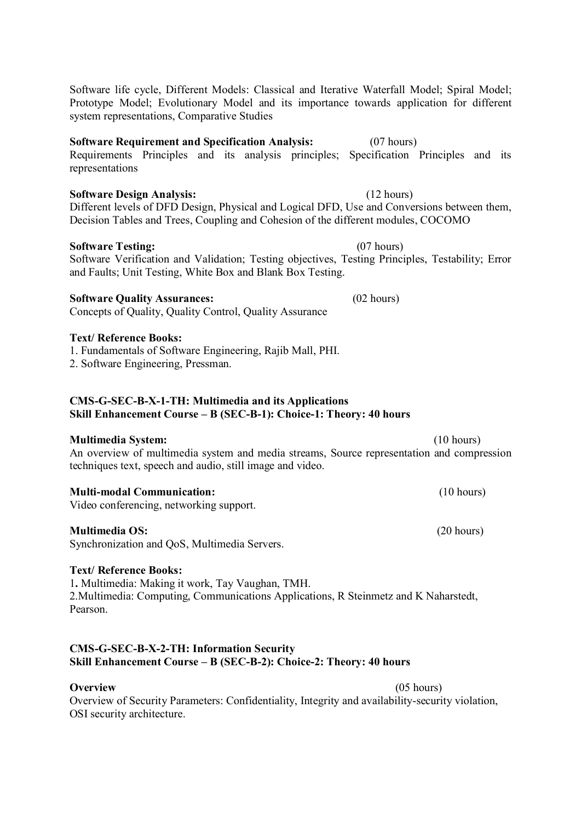| Software life cycle, Different Models: Classical and Iterative Waterfall Model; Spiral Model; |  |
|-----------------------------------------------------------------------------------------------|--|
| Prototype Model; Evolutionary Model and its importance towards application for different      |  |
| system representations, Comparative Studies                                                   |  |

## Software Requirement and Specification Analysis: (07 hours)

Requirements Principles and its analysis principles; Specification Principles and its representations

# Software Design Analysis: (12 hours)

Different levels of DFD Design, Physical and Logical DFD, Use and Conversions between them, Decision Tables and Trees, Coupling and Cohesion of the different modules, COCOMO

# Software Testing: (07 hours)

Software Verification and Validation; Testing objectives, Testing Principles, Testability; Error and Faults; Unit Testing, White Box and Blank Box Testing.

# Software Quality Assurances: (02 hours)

Concepts of Quality, Quality Control, Quality Assurance

# Text/ Reference Books:

1. Fundamentals of Software Engineering, Rajib Mall, PHI.

2. Software Engineering, Pressman.

## CMS-G-SEC-B-X-1-TH: Multimedia and its Applications Skill Enhancement Course – B (SEC-B-1): Choice-1: Theory: 40 hours

# Multimedia System: (10 hours)

An overview of multimedia system and media streams, Source representation and compression techniques text, speech and audio, still image and video.

# Multi-modal Communication: (10 hours)

Video conferencing, networking support.

# Multimedia OS: (20 hours)

Synchronization and QoS, Multimedia Servers.

# Text/ Reference Books:

1. Multimedia: Making it work, Tay Vaughan, TMH. 2.Multimedia: Computing, Communications Applications, R Steinmetz and K Naharstedt, Pearson.

# CMS-G-SEC-B-X-2-TH: Information Security Skill Enhancement Course – B (SEC-B-2): Choice-2: Theory: 40 hours

**Overview** (05 hours) Overview of Security Parameters: Confidentiality, Integrity and availability-security violation, OSI security architecture.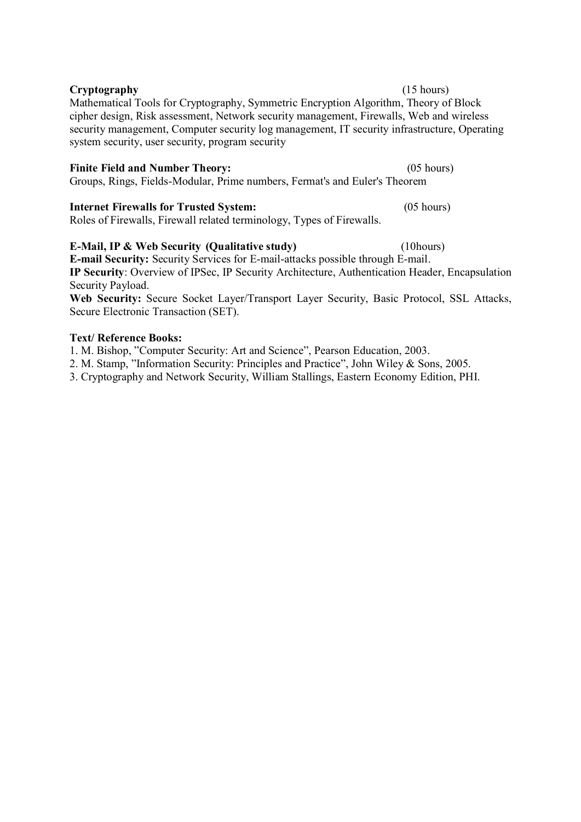# Mathematical Tools for Cryptography, Symmetric Encryption Algorithm, Theory of Block cipher design, Risk assessment, Network security management, Firewalls, Web and wireless security management, Computer security log management, IT security infrastructure, Operating system security, user security, program security

Finite Field and Number Theory: (05 hours) Groups, Rings, Fields-Modular, Prime numbers, Fermat's and Euler's Theorem

Cryptography (15 hours)

# Internet Firewalls for Trusted System: (05 hours)

Roles of Firewalls, Firewall related terminology, Types of Firewalls.

# E-Mail, IP & Web Security (Qualitative study) (10hours) E-mail Security: Security Services for E-mail-attacks possible through E-mail.

IP Security: Overview of IPSec, IP Security Architecture, Authentication Header, Encapsulation Security Payload.

Web Security: Secure Socket Layer/Transport Layer Security, Basic Protocol, SSL Attacks, Secure Electronic Transaction (SET).

# Text/ Reference Books:

1. M. Bishop, "Computer Security: Art and Science", Pearson Education, 2003.

2. M. Stamp, "Information Security: Principles and Practice", John Wiley & Sons, 2005.

3. Cryptography and Network Security, William Stallings, Eastern Economy Edition, PHI.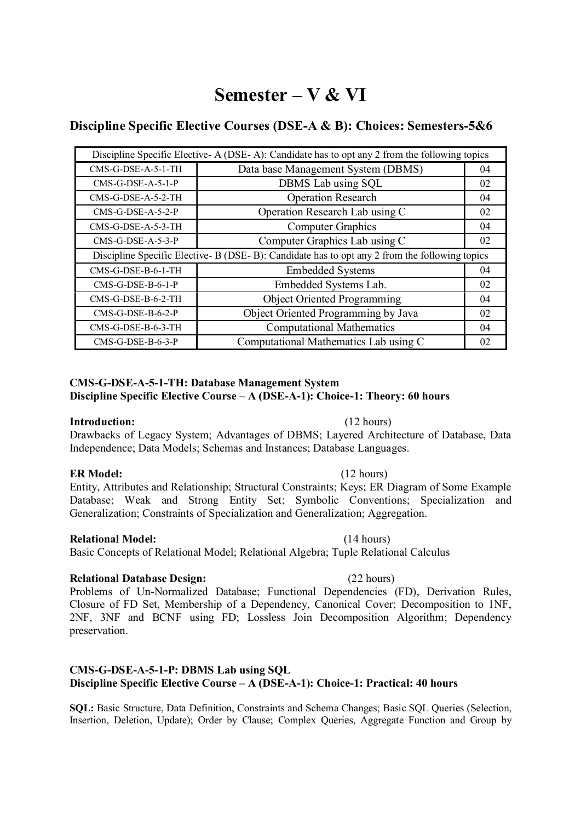# Semester – V & VI

# Discipline Specific Elective Courses (DSE-A & B): Choices: Semesters-5&6

| Discipline Specific Elective-A (DSE-A): Candidate has to opt any 2 from the following topics |                                     |    |  |  |
|----------------------------------------------------------------------------------------------|-------------------------------------|----|--|--|
| CMS-G-DSE-A-5-1-TH                                                                           | Data base Management System (DBMS)  | 04 |  |  |
| $CMS-G-DSE-A-5-1-P$                                                                          | DBMS Lab using SQL                  | 02 |  |  |
| $CMS-G-DSE-A-5-2-TH$                                                                         | <b>Operation Research</b>           | 04 |  |  |
| $CMS-G-DSE-A-5-2-P$                                                                          | Operation Research Lab using C      | 02 |  |  |
| CMS-G-DSE-A-5-3-TH                                                                           | <b>Computer Graphics</b>            | 04 |  |  |
| $CMS-G-DSE-A-5-3-P$                                                                          | Computer Graphics Lab using C       | 02 |  |  |
| Discipline Specific Elective-B (DSE-B): Candidate has to opt any 2 from the following topics |                                     |    |  |  |
|                                                                                              |                                     |    |  |  |
| CMS-G-DSE-B-6-1-TH                                                                           | <b>Embedded Systems</b>             | 04 |  |  |
| $CMS-G-DSE-B-6-1-P$                                                                          | Embedded Systems Lab.               | 02 |  |  |
| CMS-G-DSE-B-6-2-TH                                                                           | <b>Object Oriented Programming</b>  | 04 |  |  |
| $CMS-G-DSE-B-6-2-P$                                                                          | Object Oriented Programming by Java | 02 |  |  |
| CMS-G-DSE-B-6-3-TH                                                                           | <b>Computational Mathematics</b>    | 04 |  |  |

### CMS-G-DSE-A-5-1-TH: Database Management System Discipline Specific Elective Course – A (DSE-A-1): Choice-1: Theory: 60 hours

## Introduction: (12 hours)

Drawbacks of Legacy System; Advantages of DBMS; Layered Architecture of Database, Data Independence; Data Models; Schemas and Instances; Database Languages.

# ER Model: (12 hours)

Entity, Attributes and Relationship; Structural Constraints; Keys; ER Diagram of Some Example Database; Weak and Strong Entity Set; Symbolic Conventions; Specialization and Generalization; Constraints of Specialization and Generalization; Aggregation.

## Relational Model: (14 hours)

# Basic Concepts of Relational Model; Relational Algebra; Tuple Relational Calculus

# Relational Database Design: (22 hours)

Problems of Un-Normalized Database; Functional Dependencies (FD), Derivation Rules, Closure of FD Set, Membership of a Dependency, Canonical Cover; Decomposition to 1NF, 2NF, 3NF and BCNF using FD; Lossless Join Decomposition Algorithm; Dependency preservation.

## CMS-G-DSE-A-5-1-P: DBMS Lab using SQL Discipline Specific Elective Course – A (DSE-A-1): Choice-1: Practical: 40 hours

SQL: Basic Structure, Data Definition, Constraints and Schema Changes; Basic SQL Queries (Selection, Insertion, Deletion, Update); Order by Clause; Complex Queries, Aggregate Function and Group by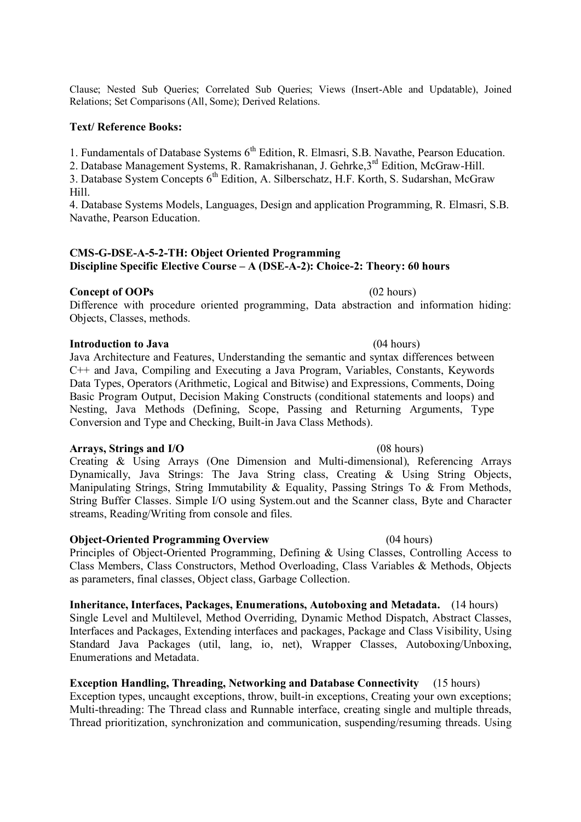Clause; Nested Sub Queries; Correlated Sub Queries; Views (Insert-Able and Updatable), Joined Relations; Set Comparisons (All, Some); Derived Relations.

### Text/ Reference Books:

1. Fundamentals of Database Systems  $6<sup>th</sup>$  Edition, R. Elmasri, S.B. Navathe, Pearson Education.

2. Database Management Systems, R. Ramakrishanan, J. Gehrke,3rd Edition, McGraw-Hill.

3. Database System Concepts 6<sup>th</sup> Edition, A. Silberschatz, H.F. Korth, S. Sudarshan, McGraw Hill.

4. Database Systems Models, Languages, Design and application Programming, R. Elmasri, S.B. Navathe, Pearson Education.

# CMS-G-DSE-A-5-2-TH: Object Oriented Programming Discipline Specific Elective Course – A (DSE-A-2): Choice-2: Theory: 60 hours

Concept of OOPs<br>Difference with procedure oriented programming, Data abstraction and information hiding: Objects, Classes, methods.

### Introduction to Java (04 hours)

Java Architecture and Features, Understanding the semantic and syntax differences between C++ and Java, Compiling and Executing a Java Program, Variables, Constants, Keywords Data Types, Operators (Arithmetic, Logical and Bitwise) and Expressions, Comments, Doing Basic Program Output, Decision Making Constructs (conditional statements and loops) and Nesting, Java Methods (Defining, Scope, Passing and Returning Arguments, Type Conversion and Type and Checking, Built-in Java Class Methods).

### Arrays, Strings and I/O (08 hours)

Creating & Using Arrays (One Dimension and Multi-dimensional), Referencing Arrays Dynamically, Java Strings: The Java String class, Creating & Using String Objects, Manipulating Strings, String Immutability & Equality, Passing Strings To & From Methods, String Buffer Classes. Simple I/O using System.out and the Scanner class, Byte and Character streams, Reading/Writing from console and files.

### Object-Oriented Programming Overview (04 hours)

Principles of Object-Oriented Programming, Defining & Using Classes, Controlling Access to Class Members, Class Constructors, Method Overloading, Class Variables & Methods, Objects as parameters, final classes, Object class, Garbage Collection.

Inheritance, Interfaces, Packages, Enumerations, Autoboxing and Metadata. (14 hours) Single Level and Multilevel, Method Overriding, Dynamic Method Dispatch, Abstract Classes, Interfaces and Packages, Extending interfaces and packages, Package and Class Visibility, Using Standard Java Packages (util, lang, io, net), Wrapper Classes, Autoboxing/Unboxing, Enumerations and Metadata.

## Exception Handling, Threading, Networking and Database Connectivity (15 hours) Exception types, uncaught exceptions, throw, built-in exceptions, Creating your own exceptions; Multi-threading: The Thread class and Runnable interface, creating single and multiple threads, Thread prioritization, synchronization and communication, suspending/resuming threads. Using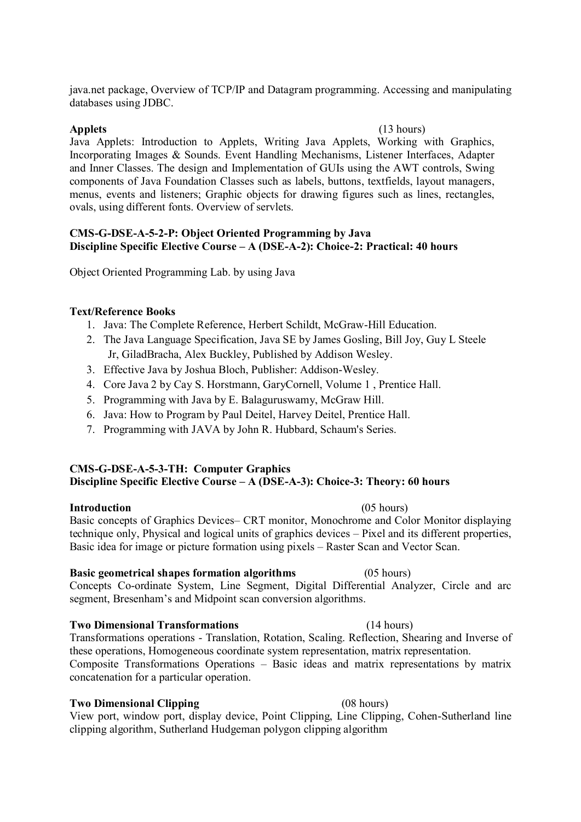java.net package, Overview of TCP/IP and Datagram programming. Accessing and manipulating databases using JDBC.

### Applets (13 hours)

Java Applets: Introduction to Applets, Writing Java Applets, Working with Graphics, Incorporating Images & Sounds. Event Handling Mechanisms, Listener Interfaces, Adapter and Inner Classes. The design and Implementation of GUIs using the AWT controls, Swing components of Java Foundation Classes such as labels, buttons, textfields, layout managers, menus, events and listeners; Graphic objects for drawing figures such as lines, rectangles, ovals, using different fonts. Overview of servlets.

### CMS-G-DSE-A-5-2-P: Object Oriented Programming by Java Discipline Specific Elective Course – A (DSE-A-2): Choice-2: Practical: 40 hours

Object Oriented Programming Lab. by using Java

## Text/Reference Books

- 1. Java: The Complete Reference, Herbert Schildt, McGraw-Hill Education.
- 2. The Java Language Specification, Java SE by James Gosling, Bill Joy, Guy L Steele Jr, GiladBracha, Alex Buckley, Published by Addison Wesley.
- 3. Effective Java by Joshua Bloch, Publisher: Addison-Wesley.
- 4. Core Java 2 by Cay S. Horstmann, GaryCornell, Volume 1 , Prentice Hall.
- 5. Programming with Java by E. Balaguruswamy, McGraw Hill.
- 6. Java: How to Program by Paul Deitel, Harvey Deitel, Prentice Hall.
- 7. Programming with JAVA by John R. Hubbard, Schaum's Series.

## CMS-G-DSE-A-5-3-TH: Computer Graphics Discipline Specific Elective Course – A (DSE-A-3): Choice-3: Theory: 60 hours

## Introduction (05 hours)

Basic concepts of Graphics Devices– CRT monitor, Monochrome and Color Monitor displaying technique only, Physical and logical units of graphics devices – Pixel and its different properties, Basic idea for image or picture formation using pixels – Raster Scan and Vector Scan.

## Basic geometrical shapes formation algorithms (05 hours)

Concepts Co-ordinate System, Line Segment, Digital Differential Analyzer, Circle and arc segment, Bresenham's and Midpoint scan conversion algorithms.

## Two Dimensional Transformations (14 hours)

Transformations operations - Translation, Rotation, Scaling. Reflection, Shearing and Inverse of these operations, Homogeneous coordinate system representation, matrix representation. Composite Transformations Operations – Basic ideas and matrix representations by matrix concatenation for a particular operation.

## Two Dimensional Clipping (08 hours)

View port, window port, display device, Point Clipping, Line Clipping, Cohen-Sutherland line clipping algorithm, Sutherland Hudgeman polygon clipping algorithm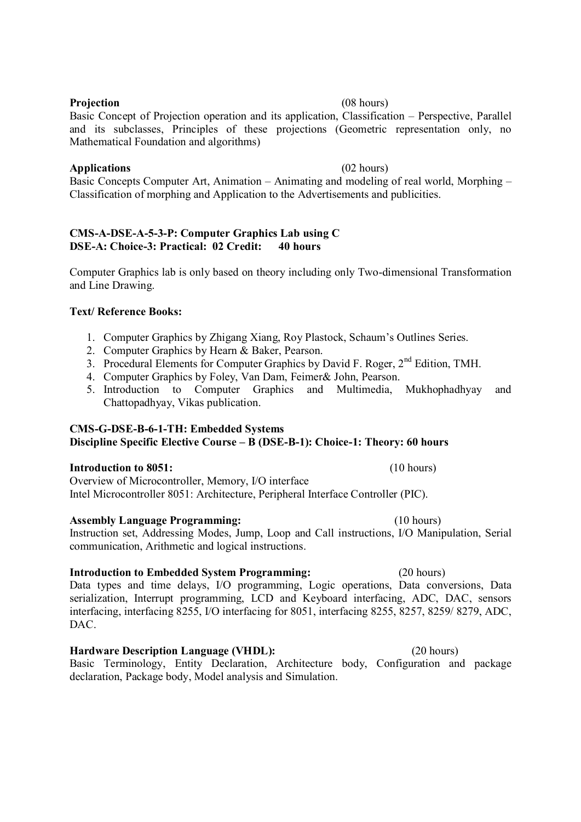### Projection (08 hours)

Basic Concept of Projection operation and its application, Classification – Perspective, Parallel and its subclasses, Principles of these projections (Geometric representation only, no Mathematical Foundation and algorithms)

### Applications (02 hours)

Basic Concepts Computer Art, Animation – Animating and modeling of real world, Morphing – Classification of morphing and Application to the Advertisements and publicities.

### CMS-A-DSE-A-5-3-P: Computer Graphics Lab using C DSE-A: Choice-3: Practical: 02 Credit: 40 hours

Computer Graphics lab is only based on theory including only Two-dimensional Transformation and Line Drawing.

## Text/ Reference Books:

- 1. Computer Graphics by Zhigang Xiang, Roy Plastock, Schaum's Outlines Series.
- 2. Computer Graphics by Hearn & Baker, Pearson.
- 3. Procedural Elements for Computer Graphics by David F. Roger, 2<sup>nd</sup> Edition, TMH.
- 4. Computer Graphics by Foley, Van Dam, Feimer& John, Pearson.
- 5. Introduction to Computer Graphics and Multimedia, Mukhophadhyay and Chattopadhyay, Vikas publication.

# CMS-G-DSE-B-6-1-TH: Embedded Systems

# Discipline Specific Elective Course – B (DSE-B-1): Choice-1: Theory: 60 hours

## Introduction to 8051: (10 hours)

Overview of Microcontroller, Memory, I/O interface Intel Microcontroller 8051: Architecture, Peripheral Interface Controller (PIC).

## Assembly Language Programming: (10 hours)

Instruction set, Addressing Modes, Jump, Loop and Call instructions, I/O Manipulation, Serial communication, Arithmetic and logical instructions.

## Introduction to Embedded System Programming: (20 hours)

Data types and time delays, I/O programming, Logic operations, Data conversions, Data serialization, Interrupt programming, LCD and Keyboard interfacing, ADC, DAC, sensors interfacing, interfacing 8255, I/O interfacing for 8051, interfacing 8255, 8257, 8259/ 8279, ADC, DAC.

# Hardware Description Language (VHDL): (20 hours)

Basic Terminology, Entity Declaration, Architecture body, Configuration and package declaration, Package body, Model analysis and Simulation.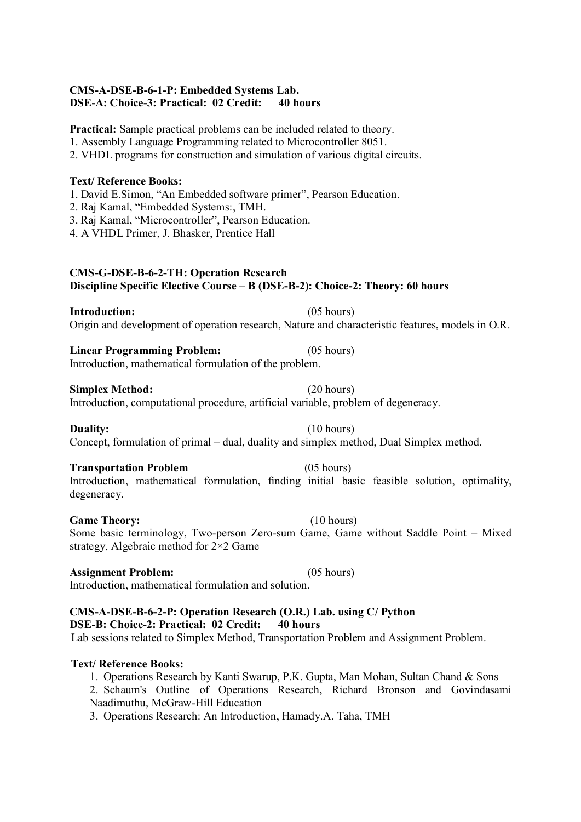## CMS-A-DSE-B-6-1-P: Embedded Systems Lab. DSE-A: Choice-3: Practical: 02 Credit: 40 hours

Practical: Sample practical problems can be included related to theory.

1. Assembly Language Programming related to Microcontroller 8051.

2. VHDL programs for construction and simulation of various digital circuits.

### Text/ Reference Books:

1. David E.Simon, "An Embedded software primer", Pearson Education.

- 2. Raj Kamal, "Embedded Systems:, TMH.
- 3. Raj Kamal, "Microcontroller", Pearson Education.
- 4. A VHDL Primer, J. Bhasker, Prentice Hall

### CMS-G-DSE-B-6-2-TH: Operation Research Discipline Specific Elective Course – B (DSE-B-2): Choice-2: Theory: 60 hours

Introduction: (05 hours) Origin and development of operation research, Nature and characteristic features, models in O.R.

Linear Programming Problem: (05 hours) Introduction, mathematical formulation of the problem.

Simplex Method: (20 hours) Introduction, computational procedure, artificial variable, problem of degeneracy.

Duality: (10 hours) Concept, formulation of primal – dual, duality and simplex method, Dual Simplex method.

# Transportation Problem (05 hours)

Introduction, mathematical formulation, finding initial basic feasible solution, optimality, degeneracy.

## Game Theory: (10 hours)

Some basic terminology, Two-person Zero-sum Game, Game without Saddle Point – Mixed strategy, Algebraic method for 2×2 Game

### Assignment Problem: (05 hours)

Introduction, mathematical formulation and solution.

# CMS-A-DSE-B-6-2-P: Operation Research (O.R.) Lab. using C/ Python DSE-B: Choice-2: Practical: 02 Credit: 40 hours Lab sessions related to Simplex Method, Transportation Problem and Assignment Problem.

## Text/ Reference Books:

1. Operations Research by Kanti Swarup, P.K. Gupta, Man Mohan, Sultan Chand & Sons 2. Schaum's Outline of Operations Research, Richard Bronson and Govindasami Naadimuthu, McGraw-Hill Education

3. Operations Research: An Introduction, Hamady.A. Taha, TMH